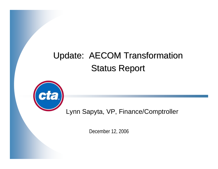# Update: AECOM Transformation **Status Report**



Lynn Sapyta, VP, Finance/Comptroller

December 12, 2006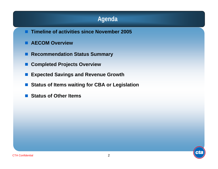#### **Agenda**

- **Timeline of activities since November 2005**
- **AECOM Overview**
- **Recommendation Status Summary**
- I. **Completed Projects Overview**
- P) **Expected Savings and Revenue Growth**
- F **Status of Items waiting for CBA or Legislation**
- F **Status of Other Items**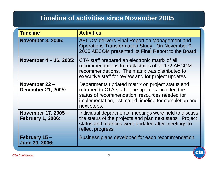#### **Timeline of activities since November 2005**

| <b>Timeline</b>                                 | <b>Activities</b>                                                                                                                                                                                                             |
|-------------------------------------------------|-------------------------------------------------------------------------------------------------------------------------------------------------------------------------------------------------------------------------------|
| <b>November 3, 2005:</b>                        | AECOM delivers Final Report on Management and<br>Operations Transformation Study. On November 9,<br>2005 AECOM presented its Final Report to the Board.                                                                       |
| November 4 – 16, 2005:                          | CTA staff prepared an electronic matrix of all<br>recommendations to track status of all 172 AECOM<br>recommendations. The matrix was distributed to<br>executive staff for review and for project updates.                   |
| November 22 -<br><b>December 21, 2005:</b>      | Departments updated matrix on project status and<br>returned to CTA staff. The updates included the<br>status of recommendation, resources needed for<br>implementation, estimated timeline for completion and<br>next steps. |
| November 17, 2005 -<br><b>February 1, 2006:</b> | Individual departmental meetings were held to discuss<br>the status of the projects and plan next steps. Project<br>status and matrices were updated after meetings to<br>reflect progress.                                   |
| February 15 –<br><b>June 30, 2006:</b>          | Business plans developed for each recommendation.                                                                                                                                                                             |

cta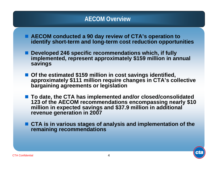#### **AECOM Overview**

- AECOM conducted a 90 day review of CTA's operation to **identify short-term and long-term cost reduction opportunities**
- **Developed 246 specific recommendations which, if fully implemented, represent approximately \$159 million in annual savings**
- Of the estimated \$159 million in cost savings identified, approximately \$111 million require changes in CTA's collective **bargaining agreements or legislation**
- To date, the CTA has implemented and/or closed/consolidated **123 of the AECOM recommendations encompassing nearly \$10 million in expected savings and \$37.9 million in additional revenue generation in 2007**
- CTA is in various stages of analysis and implementation of the **remaining recommendations**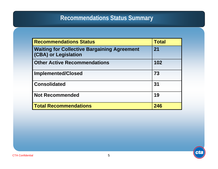#### **Recommendations Status Summary**

| <b>Recommendations Status</b>                                              | <b>Total</b> |
|----------------------------------------------------------------------------|--------------|
| <b>Waiting for Collective Bargaining Agreement</b><br>(CBA) or Legislation | 21           |
| <b>Other Active Recommendations</b>                                        | 102          |
| <b>Implemented/Closed</b>                                                  | 73           |
| <b>Consolidated</b>                                                        | 31           |
| <b>Not Recommended</b>                                                     | 19           |
| <b>Total Recommendations</b>                                               | 246          |

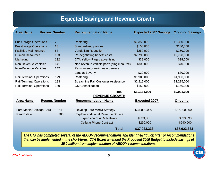#### **Expected Savings and Revenue Growth**

| <b>Area Name</b>                | <b>Recom. Number</b> | <b>Recommendation Name</b>                                                  | <b>Expected 2007 Savings</b> | <b>Ongoing Savings</b> |
|---------------------------------|----------------------|-----------------------------------------------------------------------------|------------------------------|------------------------|
| <b>Bus Garage Operations</b>    | $\overline{7}$       | Rostering                                                                   | \$2,350,000                  | \$2,350,000            |
| <b>Bus Garage Operations</b>    | 18                   | Standardized policies                                                       | \$100,000                    | \$100,000              |
| <b>Facilities Maintenance</b>   | 63                   | <b>Vandalism Reduction</b>                                                  | \$250,000                    | \$250,000              |
| <b>Human Resources</b>          | 103                  |                                                                             |                              |                        |
|                                 |                      | Re-negotiating benefit costs                                                | \$2,798,000                  | \$2,798,000            |
| Marketing                       | 132                  | <b>CTA Yellow Pages advertising</b>                                         | \$38,000                     | \$38,000               |
| <b>Non-Revenue Vehicles</b>     | 141                  | Non-revenue vehicle parts (single source)                                   | \$300,000                    | \$70,000               |
| <b>Non-Revenue Vehicles</b>     | 142                  | Parts inventory-eliminate useless                                           |                              |                        |
|                                 |                      | parts at Beverly                                                            | \$30,000                     | \$30,000               |
| <b>Rail Terminal Operations</b> | 179                  | Rostering                                                                   | \$1,900,000                  | \$1,900,000            |
| <b>Rail Terminal Operations</b> | 183                  | <b>Streamline Rail Customer Assistance</b>                                  | \$2,215,000                  | \$2,215,000            |
| <b>Rail Terminal Operations</b> | 189                  | <b>GM Consolidation</b>                                                     | \$150,000                    | \$150,000              |
|                                 |                      | <b>Total</b>                                                                | \$10,131,000                 | \$9,901,000            |
|                                 |                      | <b>REVENUE GROWTH</b>                                                       |                              |                        |
| <b>Area Name</b>                | <b>Recom. Number</b> | <b>Recommendation Name</b>                                                  | <b>Expected 2007</b>         | <b>Ongoing</b>         |
| Fare Media/Chicago Card         | 64                   | Develop Fare Media Strategy                                                 | \$37,000,000                 | \$37,000,000           |
| <b>Real Estate</b>              | 200                  | <b>Explore additional Revenue Source</b><br><b>Expansion of ATM Network</b> | \$633,333                    | \$633,333              |
|                                 |                      | <b>Cellular Phone Contract</b>                                              | \$290,000                    | \$290,000              |
|                                 |                      | <b>Total</b>                                                                | \$37,923,333                 | \$37,923,333           |

*The CTA has completed several of the AECOM recommendations and identified "quick hits" or recommendations that can be implemented in the short-term. CTA Board amended the Proposed 2006 Budget to include savings of \$5.0 million from implementation of AECOM recommendations.*

नह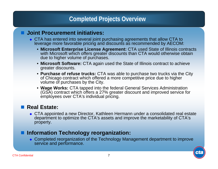#### **Completed Projects Overview**

#### **Joint Procurement initiatives:**

- ◆ CTA has entered into several joint purchasing agreements that allow CTA to leverage more favorable pricing and discounts as recommended by AECOM:
	- **Microsoft Enterprise License Agreement:** CTA used State of Illinois contracts with Microsoft which offers greater discounts than CTA would otherwise obtain due to higher volume of purchases.
	- **Microsoft Software:** CTA again used the State of Illinois contract to achieve greater discounts.
	- **Purchase of refuse trucks:** CTA was able to purchase two trucks via the City of Chicago contract which offered a more competitive price due to higher volume of purchases by the City.
	- **Wage Works:** CTA tapped into the federal General Services Administration (GSA) contract which offers a 27% greater discount and improved service for employees over CTA's individual pricing.

#### ■ Real Estate:

◆ CTA appointed a new Director, Kathleen Hermann under a consolidated real estate department to optimize the CTA's assets and improve the marketability of CTA's property.

#### **Information Technology reorganization:**

 Completed reorganization of the Technology Management department to improve service and performance.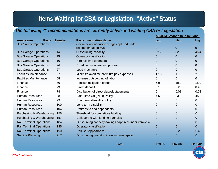### **Items Waiting for CBA or Legislation: "Active" Status**

#### *The following 21 recommendations are currently active and waiting CBA or Legislation*

|                                 |                      |                                                      |                | <b>AECOM Savings (\$ in millions)</b> |                |  |
|---------------------------------|----------------------|------------------------------------------------------|----------------|---------------------------------------|----------------|--|
| <b>Area Name</b>                | <b>Recom. Number</b> | <b>Recommendation Name</b>                           | Low            | Med                                   | <b>High</b>    |  |
| <b>Bus Garage Operations</b>    | 9                    | Operator attendance-savings captured under           |                |                                       |                |  |
|                                 |                      | recommendation #98                                   | $\mathbf{0}$   | 0                                     | $\overline{0}$ |  |
| <b>Bus Garage Operations</b>    | 14                   | <b>Outsourcing capacity</b>                          | 22.2           | 32.5                                  | 46.4           |  |
| <b>Bus Garage Operations</b>    | 15                   | Operator classification                              | 0              | 0                                     | 0              |  |
| <b>Bus Garage Operations</b>    | 16                   | Hire full time operators                             | 0              | 0                                     | 0              |  |
| <b>Bus Garage Operations</b>    | 24                   | Excel technical training program                     | 0              | 0                                     | 0              |  |
| <b>Bus Garage Operations</b>    | 27                   | Lead mechanic                                        | $\mathbf 0$    | 0                                     | 0              |  |
| <b>Facilities Maintenance</b>   | 57                   | Minimize overtime premium pay expenses               | 1.15           | 1.75                                  | 2.3            |  |
| <b>Facilities Maintenance</b>   | 58                   | Increase outsourcing of labor                        | 0              | 0                                     | 0              |  |
| Finance                         | 70                   | Pension obligation bonds                             | 5,0            | 10.0                                  | 15.0           |  |
| Finance                         | 73                   | Direct deposit                                       | 0.1            | 0.2                                   | 0.4            |  |
| Finance                         | 74                   | Distribution of direct deposit statements            | 0              | 0.01                                  | 0.02           |  |
| <b>Human Resources</b>          | 98                   | Paid Time Off (PTO) Policy                           | 4.5            | 23                                    | 45.9           |  |
| <b>Human Resources</b>          | 99                   | Short term disability policy                         | 0              | 0                                     | 0              |  |
| <b>Human Resources</b>          | 100                  | Long term disability                                 | 0              | 0                                     | 0              |  |
| <b>Human Resources</b>          | 104                  | Retirees to add dependents                           | 0              | 0                                     | 0              |  |
| Purchasing & Warehousing        | 156                  | Threshold for competitive bidding                    | $\mathbf 0$    | 0                                     | 0              |  |
| Purchasing & Warehousing        | 157                  | Collaborate with funding agencies                    | $\mathbf 0$    | 0                                     | 0              |  |
| <b>Rail Terminal Operations</b> | 184                  | Outsourcing capacity-savings captured under item #14 | $\overline{0}$ | 0                                     | 0              |  |
| <b>Rail Terminal Operations</b> | 185                  | Operator classification                              | $\Omega$       | 0                                     | 0              |  |
| <b>Rail Terminal Operations</b> | 190                  | Rail Car Appearance                                  | 0.1            | 0.2                                   | 0.4            |  |
| <b>Service Planning</b>         | 217                  | Outsourcing bus-stop infrastructure repairs          | $\mathbf 0$    | 0                                     | 0              |  |
|                                 |                      | <b>Total</b>                                         | \$33.05        | \$67.66                               | \$110.42       |  |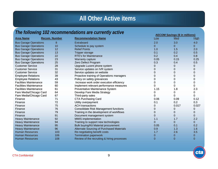#### *The following 102 recommendations are currently active*

|                               |                      |                                              | <b>AECOM Savings (\$ in millions)</b> |              |              |
|-------------------------------|----------------------|----------------------------------------------|---------------------------------------|--------------|--------------|
| <b>Area Name</b>              | <b>Recom. Number</b> | <b>Recommendation Name</b>                   | Low                                   | Med          | <b>High</b>  |
| <b>Bus Garage Operations</b>  | 8                    | Extraboard                                   | 2.0                                   | 3.0          | 4.0          |
| <b>Bus Garage Operations</b>  | 10                   | Schedule to pay system                       | 0                                     | 0            | 0            |
| <b>Bus Garage Operations</b>  | 12                   | <b>Relief Points</b>                         | 1.0                                   | 1.5          | 2.0          |
| <b>Bus Garage Operations</b>  | 13                   | <b>Tripper storage</b>                       | 0.1                                   | 0.2          | 0.5          |
| <b>Bus Garage Operations</b>  | 22                   | <b>RTE's for Maintenance</b>                 | 0.2                                   | 0.4          | 0.8          |
| <b>Bus Garage Operations</b>  | 23                   | Warranty capture                             | 0.05                                  | 0.15         | 0.25         |
| <b>Bus Garage Operations</b>  | 25                   | Zero Defect Program                          | 0.3                                   | 0.4          | 0.5          |
| <b>Customer Service</b>       | 28                   | Upgrade Lucent phone system                  | 0                                     | 0            | 0            |
| <b>Customer Service</b>       | 31                   | Service updates on IVR system                | 0                                     | 0            | 0            |
| <b>Customer Service</b>       | 32                   | Service updates on website                   | 0                                     | 0            | 0            |
| <b>Employee Relations</b>     | 39                   | Proactive training of Operations managers    | 0                                     | 0            | 0            |
| <b>Employee Relations</b>     | 43                   | Policy on safety grievances                  |                                       | 0            | 0            |
| <b>Facilities Maintenance</b> | 59                   | Increase work order execution efficiency     |                                       | 0            | 0            |
| <b>Facilities Maintenance</b> | 60                   | Implement relevant performance measures      | 0                                     | 0            | 0            |
| <b>Facilities Maintenance</b> | 61                   | Preventative Maintenance System              | 1.15                                  | 1.8          | 2.3          |
| Fare Media/Chicago Card       | 64                   | Develop Fare Media Strategy                  |                                       | 0            | 0            |
| Fare Media/Chicago Card       | 67                   | Third-party sales                            | 0                                     | 0            | 0            |
| Finance                       | 71                   | <b>CTA Purchasing Card</b>                   | 0.06                                  | 0.09         | 0.12         |
| Finance                       | 72                   | Utility overpayment                          | 0.1                                   | 0.2          | 0.3          |
| Finance                       | 75                   | <b>ACH</b> transactions                      | 0                                     | 0.017        | 0.027        |
| Finance                       | 76                   | <b>Consolidate Risk Management functions</b> | 0                                     | 0            | 0            |
| Finance                       | 79                   | Training in the development of workflows     | 0                                     | 0            | 0            |
| Finance                       | 91                   | Document management system                   | 0                                     | 0            | 0            |
| <b>Heavy Maintenance</b>      | 92                   | <b>MMIS</b> implementation                   | 1.1                                   | 1.7          | 2.2          |
| <b>Heavy Maintenance</b>      | 94                   | Training to support new technologies         | 0                                     | 0            | 0            |
| <b>Heavy Maintenance</b>      | 95                   | <b>Bulk buying/Kit Material procurement</b>  | 0.05                                  | 0.1          | 0.2          |
| <b>Heavy Maintenance</b>      | 96                   | Alternate Sourcing of Purchased Materials    | 0.9                                   | 1.3          | 1.6          |
| <b>Human Resources</b>        | 103                  | Re-negotiating benefit costs                 | 1.7                                   | 2.6          | 3.5          |
| <b>Human Resources</b>        | 106                  | <b>Termination paperwork</b>                 | 0                                     | 0            | 0            |
| <b>Human Resources</b>        | 108                  | Review of the recruiting & hiring processes  | $\mathbf{0}$                          | $\mathbf{0}$ | $\mathbf{0}$ |

46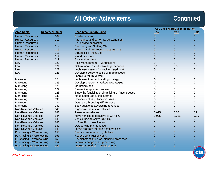#### **Continued**

cta

|                                     |                      |                                                     |          | <b>AECOM Savings (\$ in millions)</b> |              |
|-------------------------------------|----------------------|-----------------------------------------------------|----------|---------------------------------------|--------------|
| <b>Area Name</b>                    | <b>Recom. Number</b> | <b>Recommendation Name</b>                          | Low      | Med                                   | High         |
| <b>Human Resources</b>              | 109                  | <b>Position control</b>                             | 0        | 0                                     | $\mathbf{0}$ |
| <b>Human Resources</b>              | 110                  | Attendance and performance standards                | $\Omega$ | 0                                     | 0            |
| <b>Human Resources</b>              | 111                  | Self service application                            | $\Omega$ | 0                                     | 0            |
| <b>Human Resources</b>              | 114                  | <b>Recruiting and Staffing GM</b>                   | $\Omega$ | 0                                     | 0            |
| <b>Human Resources</b>              | 115                  | Training and development department                 | $\Omega$ | 0                                     | 0            |
| <b>Human Resources</b>              | 116                  | <b>Strategic HR initiatives</b>                     |          | 0                                     | 0            |
| <b>Human Resources</b>              | 117                  | <b>Workforce risks</b>                              |          | 0                                     | 0            |
| <b>Human Resources</b>              | 119                  | Succession plans                                    |          | 0                                     | 0            |
| Law                                 | 120                  | Risk Management (RM) functions                      | 0        | $\overline{0}$                        | 0            |
| Law                                 | 121                  | Obtain more cost-effective legal services           | 0.1      | 0.3                                   | 0.5          |
| Law                                 | 122                  | Implement system for tracking legal work            | 0        | 0                                     | 0            |
| Law                                 | 123                  | Develop a policy to settle with employees           |          |                                       |              |
|                                     |                      | unable to return to work                            | 0        | 0                                     | 0            |
| Marketing                           | 124                  | Implement internal branding strategy                | 0        | 0                                     | 0            |
| Marketing                           | 125                  | Develop short term marketing strategies             | 0        | O                                     | 0            |
| Marketing                           | 126                  | <b>Marketing Staff</b>                              |          | O                                     | 0            |
| Marketing                           | 127                  | Streamline approval process                         | o        | O                                     | 0            |
| Marketing                           | 128                  | Study the feasibility of simplifying U-Pass process | 0        | 0                                     | 0            |
| Marketing                           | 130                  | Make better use of the internet                     | 0        | 0                                     | 0            |
| Marketing                           | 133                  | Non-productive publication issues                   | 0        | 0                                     | 0            |
| Marketing                           | 134                  | <b>Outsource licensing, Gift Express</b>            | 0        | 0                                     | 0            |
| Marketing                           | 137                  | Seek additional advertising revenues                | 0        | 0                                     | 0            |
| Non-Revenue Vehicles                | 140                  | Right-size the mix of vehicles                      |          | 0                                     | 0            |
| Non-Revenue Vehicles                | 143                  | Take-home vehicles                                  | 0.025    | 0.05                                  | 0.1          |
| <b>Non-Revenue Vehicles</b>         | 144                  | Move vehicle pool relative to CTA HQ                | 0.025    | 0.025                                 | 0.05         |
| <b>Non-Revenue Vehicles</b>         | 145                  | Vehicle pool to serve CTA HQ                        | 0        | 0                                     | 0            |
| <b>Non-Revenue Vehicles</b>         | 146                  | IL Joint Purchase Program                           | 0        | 0                                     | 0            |
| <b>Non-Revenue Vehicles</b>         | 147                  | Outsourcing maintenance                             | 0        | 0                                     | $\mathbf 0$  |
| <b>Non-Revenue Vehicles</b>         | 148                  | Lease program for take-home vehicles                | 0        | 0                                     | 0            |
| <b>Purchasing &amp; Warehousing</b> | 150                  | Reduce procurement cycle time                       | $\Omega$ | 0                                     | 0            |
| <b>Purchasing &amp; Warehousing</b> | 151                  | Reduce construction costs                           | $\Omega$ | 0                                     | 0            |
| <b>Purchasing &amp; Warehousing</b> | 152                  | Development and proc. planning processes            | $\Omega$ | 0                                     | 0            |
| Purchasing & Warehousing            | 154                  | Improve change order processing                     | $\Omega$ | 0                                     | $\Omega$     |
| Purchasing & Warehousing            | 155                  | Improve speed of IT procurements                    | $\Omega$ | $\Omega$                              | $\Omega$     |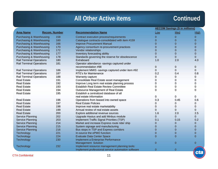#### **Continued**

|                                 |                      | <b>AECOM Savings (\$ in millions)</b>              |                |                |                |
|---------------------------------|----------------------|----------------------------------------------------|----------------|----------------|----------------|
| <b>Area Name</b>                | <b>Recom. Number</b> | <b>Recommendation Name</b>                         | Low            | Med            | <b>High</b>    |
| Purchasing & Warehousing        | 158                  | Contract execution process/requirements            | 0              | 0              | $\mathbf 0$    |
| Purchasing & Warehousing        | 160                  | Catalogue contracts-consolidated with item #159    | $\overline{0}$ | $\mathbf 0$    | $\Omega$       |
| Purchasing & Warehousing        | 166                  | <b>Improve Procurement Manual</b>                  | 0              | $\mathbf{0}$   | $\Omega$       |
| Purchasing & Warehousing        | 170                  | Agency consortium re-procurement practices         | $\overline{0}$ | $\mathbf 0$    | $\Omega$       |
| Purchasing & Warehousing        | 172                  | Vendor relationships                               | $\overline{0}$ | $\mathbf 0$    | $\Omega$       |
| Purchasing & Warehousing        | 177                  | Inventory forecasting ability                      | $\overline{0}$ | $\mathbf 0$    | $\overline{0}$ |
| Purchasing & Warehousing        | 178                  | Standards governing the reserve for obsolescence   | $\overline{0}$ | $\Omega$       | $\Omega$       |
| <b>Rail Terminal Operations</b> | 180                  | Extraboard                                         | 1.0            | 2.0            | 4.0            |
| <b>Rail Terminal Operations</b> | 181                  | Operator attendance -savings captured under        |                |                |                |
|                                 |                      | recommendation #98                                 | 0              | 0              | 0              |
| <b>Rail Terminal Operations</b> | 186                  | Implement MMIS -savings captured under item #92    | 0              | $\Omega$       | $\mathbf 0$    |
| <b>Rail Terminal Operations</b> | 187                  | <b>RTE's for Maintenance</b>                       | 0.2            | 0.4            | 0.8            |
| <b>Rail Terminal Operations</b> | 188                  | Warranty capture                                   | 0              | 0              | 0              |
| <b>Real Estate</b>              | 191                  | Consolidate Real Estate asset management           | 0              | 0              | 0              |
| <b>Real Estate</b>              | 192                  | Improve Long term real estate planning process     | 0              | 0              | 0              |
| <b>Real Estate</b>              | 193                  | <b>Establish Real Estate Review Committee</b>      | 0              | 0              | 0              |
| <b>Real Estate</b>              | 194                  | <b>Outsource Management of Real Estate</b>         | 0              | 0              | 0              |
| <b>Real Estate</b>              | 195                  | Establish a centralized database of all            |                |                |                |
|                                 |                      | real estate information                            | 0              | 0              | 0              |
| <b>Real Estate</b>              | 196                  | Operations from leased into owned space            | 0.3            | 0.45           | 0.6            |
| <b>Real Estate</b>              | 197                  | <b>Real Estate Policies</b>                        | 0              | 0              | 0              |
| <b>Real Estate</b>              | 198                  | Improve real estate marketability                  | 0              | 0              | 0              |
| <b>Real Estate</b>              | 199                  | Annual review of real estate assets                | $\Omega$       | 0              | 0              |
| <b>Real Estate</b>              | 200                  | Explore additional revenue sources                 | 1.6            | 2.0            | 2.5            |
| <b>Service Planning</b>         | 202                  | Upgrade Hastus and add Minbus module               | 0              | $\Omega$       | $\mathbf 0$    |
| Service Planning                | 203                  | Implement Traffic Signal Priorities (TSP)          | 0.1            | 0.15           | 0.2            |
| <b>Service Planning</b>         | 214                  | Market and increase Express route rider ship       | 0              | 0              | $\mathbf 0$    |
| <b>Service Planning</b>         | 215                  | System signage and manufacturing                   | 0              | 0              | $\mathbf 0$    |
| <b>Service Planning</b>         | 216                  | Bus stops in TSP and Express corridors             | $\mathbf 0$    | 0              | $\mathbf 0$    |
| Technology                      | 221                  | In-source the ePMO function                        | 0              | 0              | $\overline{0}$ |
| Technology                      | 224                  | <b>Evaluate Data Center Space</b>                  | $\overline{0}$ | $\mathbf 0$    | $\Omega$       |
| Technology                      | 230                  | Implement a Enterprise Performance                 |                |                |                |
|                                 |                      | Management Solution                                | 0              | $\mathbf{0}$   | $\mathbf{0}$   |
| Technology                      | 232                  | Implement resource management planning tools:      |                |                |                |
|                                 |                      | Implement professional service automation software | $\overline{0}$ | $\overline{0}$ |                |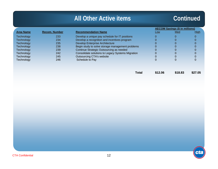#### **Continued**

cta

|                   |                      |                                                   |                                                                      | <b>AECOM Savings (\$ in millions)</b>                                |             |
|-------------------|----------------------|---------------------------------------------------|----------------------------------------------------------------------|----------------------------------------------------------------------|-------------|
| <b>Area Name</b>  | <b>Recom. Number</b> | <b>Recommendation Name</b>                        | Low                                                                  | Med                                                                  | <b>High</b> |
| <b>Technology</b> | 233                  | Develop a unique pay schedule for IT positions    |                                                                      | 0                                                                    |             |
| <b>Technology</b> | 234                  | Develop a recognition and incentives program      |                                                                      | 0                                                                    |             |
| <b>Technology</b> | 235                  | <b>Develop Enterprise Architecture</b>            |                                                                      | 0                                                                    |             |
| <b>Technology</b> | 238                  | Begin study to solve storage management problems  |                                                                      | 0                                                                    |             |
| Technology        | 239                  | Continue Strategic Outsourcing as needed          |                                                                      | 0                                                                    |             |
| <b>Technology</b> | 242                  | Consolidate solutions to Legacy Systems Migration |                                                                      |                                                                      |             |
| <b>Technology</b> | 245                  | <b>Outsourcing CTA's website</b>                  |                                                                      |                                                                      |             |
| <b>Technology</b> | 246                  | Schedule to Pay                                   |                                                                      |                                                                      |             |
|                   |                      |                                                   |                                                                      |                                                                      |             |
|                   |                      |                                                   |                                                                      |                                                                      |             |
|                   |                      |                                                   |                                                                      |                                                                      |             |
|                   |                      | <b>The County</b>                                 | $\begin{array}{c} \bullet & \bullet & \bullet & \bullet \end{array}$ | $\begin{array}{c} \bullet & \bullet & \bullet & \bullet \end{array}$ |             |

**Total\$12.06 \$18.83 \$27.05**

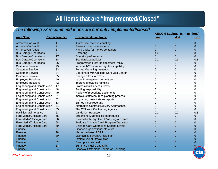#### **All items that are "Implemented/Closed"**

#### *The following 73 recommendations are currently implemented/closed*

|                                     |                      |                                                 |              | <b>AECOM Savings (\$ in millions)</b> |              |  |
|-------------------------------------|----------------------|-------------------------------------------------|--------------|---------------------------------------|--------------|--|
| <b>Area Name</b>                    | <b>Recom. Number</b> | <b>Recommendation Name</b>                      | Low          | Med                                   | High         |  |
| <b>Armored Car/Vault</b>            |                      | Outsource revenue counting                      | $\mathbf{0}$ | 0                                     | $\mathbf 0$  |  |
| <b>Armored Car/Vault</b>            | $\overline{2}$       | Research bar code systems                       | 0            | 0                                     | $\mathbf{0}$ |  |
| <b>Armored Car/Vault</b>            | 6                    | Hand trucks for money containers                | 0            | $\mathbf{0}$                          | $\mathbf 0$  |  |
| <b>Bus Garage Operations</b>        | $\overline{7}$       | Rostering                                       | 4.0          | 6.0                                   | 8.0          |  |
| <b>Bus Garage Operations</b>        | 17                   | Operator performance                            | 0            | $\overline{0}$                        | $\Omega$     |  |
| <b>Bus Garage Operations</b>        | 18                   | Standardized policies                           | 0.1          | 0.1                                   | 0.1          |  |
| <b>Bus Garage Operations</b>        | 26                   | Programmed Fleet Replacement Policy             | 0            | 0                                     | 0            |  |
| <b>Customer Service</b>             | 29                   | Improve IVR name recognition capability         | 0            | 0                                     | 0            |  |
| <b>Customer Service</b>             | 33                   | <b>Formal Marketing meetings</b>                | 0            | 0                                     | 0            |  |
| <b>Customer Service</b>             | 34                   | Coordinate with Chicago Card Ops Center         | 0            | 0                                     | 0            |  |
| <b>Customer Service</b>             | 35                   | Change FTT's to FTE's                           | 0            | 0                                     | 0            |  |
| <b>Employee Relations</b>           | 40                   | Labor Management committee                      | O            | 0                                     | 0            |  |
| <b>Employee Relations</b>           | 42                   | Improve grievance handling                      | O            | 0                                     | 0            |  |
| <b>Engineering and Construction</b> | 47                   | <b>Professional Services Costs</b>              |              | 0                                     | 0            |  |
| <b>Engineering and Construction</b> | 48                   | <b>Staffing responsibility</b>                  |              | 0                                     | 0            |  |
| <b>Engineering and Construction</b> | 49                   | Review of procedural documents                  |              | 0                                     | 0            |  |
| <b>Engineering and Construction</b> | 51                   | mprove staff resources planning process         |              | 0                                     | 0            |  |
| <b>Engineering and Construction</b> | 52                   | Upgrading project status reports                | O            | 0                                     | 0            |  |
| <b>Engineering and Construction</b> | 53                   | Earned value reporting                          | 0            | 0                                     | 0            |  |
| <b>Engineering and Construction</b> | 54                   | <b>Alternative Contract Delivery Approaches</b> | 0            | 0                                     | 0            |  |
| <b>Engineering and Construction</b> | 55                   | The CTA as a Contracting Agency                 | 0            | 0                                     | 0            |  |
| <b>Facilities Maintenance</b>       | 63                   | <b>Vandalism Reduction</b>                      | 0.1          | 0.2                                   | 0.3          |  |
| Fare Media/Chicago Card             | 65                   | Streamline Magnetic ticket products             | 0            | 0                                     | 0            |  |
| Fare Media/Chicago Card             | 66                   | Establish Chicago Card/Plus program team        | 0            | 0                                     | 0            |  |
| Fare Media/Chicago Card             | 68                   | <b>Evaluate Chicago Card Program Transition</b> | 0            | 0                                     | 0            |  |
| Fare Media/Chicago Card             | 69                   | <b>Chicago Card Operations Staffing Levels</b>  | 0            | 0                                     | $\mathbf 0$  |  |
| Finance                             | 77                   | Finance organizational structure                | 0            | 0                                     | 0            |  |
| Finance                             | 78                   | Maximized use of ERP                            | 0            | 0                                     | $\Omega$     |  |
| Finance                             | 80                   | Maintain its current Oracle staff               | 0            | 0                                     | $\mathbf 0$  |  |
| Finance                             | 81                   | Explore use of Oracle alias                     | $\Omega$     | 0                                     | $\Omega$     |  |
| Finance                             | 82                   | Descriptive flex field                          | 0            | 0                                     | 0            |  |
| Finance                             | 83                   | Summary Inquiry capability                      | 0            | $\Omega$                              | 0            |  |
| Finance                             | 84                   | <b>Financial Statement Generator Reporting</b>  | $\Omega$     | 0                                     |              |  |

CTA Confidential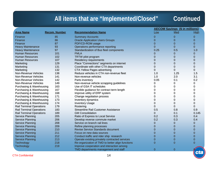### **All items that are "Implemented/Closed" Continued**

|                                 |                      |                                                  | <b>AECOM Savings (\$ in millions)</b> |                |                |
|---------------------------------|----------------------|--------------------------------------------------|---------------------------------------|----------------|----------------|
| <b>Area Name</b>                | <b>Recom. Number</b> | <b>Recommendation Name</b>                       | Low                                   | Med            | High           |
| Finance                         | 85                   | <b>Summary Accounts</b>                          | 0                                     | $\mathbf 0$    | $\overline{0}$ |
| Finance                         | 86                   | <b>Oracle Application Users Groups</b>           | $\Omega$                              | $\mathbf 0$    | $\Omega$       |
| Finance                         | 87                   | PDF/CD-ROM usage                                 | 0                                     | 0              | $\Omega$       |
| <b>Heavy Maintenance</b>        | 93                   | Operations performance reporting                 | $\Omega$                              | $\overline{0}$ | $\Omega$       |
| <b>Heavy Maintenance</b>        | 97                   | Standardization of Bus fleet components          | 0.25                                  | 0.5            | 1.0            |
| <b>Human Resources</b>          | 101                  | <b>FMLA</b>                                      |                                       | 0              | $\Omega$       |
| <b>Human Resources</b>          | 102                  | TRTW pilot program                               | 0                                     | 0              | $\Omega$       |
| <b>Human Resources</b>          | 107                  | <b>Residency requirements</b>                    | 0                                     | 0              | $\overline{0}$ |
| Marketing                       | 129                  | Place "Connections" segments on internet         | 0                                     | 0              | $\mathbf 0$    |
| Marketing                       | 131                  | Coordinate with other CTA departments            | 0                                     | 0              | 0              |
| Marketing                       | 132                  | <b>CTA Yellow Pages advertising</b>              | 0                                     | 0              | $\Omega$       |
| Non-Revenue Vehicles            | 138                  | Reduce vehicles in CTA non-revenue fleet         | 1.0                                   | 1.25           | 1.5            |
| Non-Revenue Vehicles            | 141                  | Non-revenue vehicles                             | 1.0                                   | 2.0            | 3.1            |
| Non-Revenue Vehicles            | 142                  | Parts inventory                                  | 0.05                                  | 0.1            | 0.2            |
| Non-Revenue Vehicles            | 149                  | Non-revenue vehicle scrapping guidelines         | 0                                     | 0              | 0              |
| Purchasing & Warehousing        | 163                  | Use of GSA IT schedules                          | 0                                     | 0              | 0              |
| Purchasing & Warehousing        | 167                  | Flexible guidance for contract term length       | 0                                     | 0              | 0              |
| Purchasing & Warehousing        | 168                  | Improve utility of ERP system                    | 0                                     | 0              | 0              |
| Purchasing & Warehousing        | 171                  | Change negotiation process                       | 0                                     | 0              | 0              |
| Purchasing & Warehousing        | 173                  | Inventory dynamics                               | 0                                     | 0              | 0              |
| Purchasing & Warehousing        | 174                  | <b>Inventory Usage</b>                           | 0                                     | 0              | 0              |
| <b>Rail Terminal Operations</b> | 179                  | Rostering                                        | 0                                     | 0              | 0              |
| <b>Rail Terminal Operations</b> | 183                  | <b>Streamline Rail Customer Assistance</b>       | 0.5                                   | 0.8            | 0.9            |
| <b>Rail Terminal Operations</b> | 189                  | <b>GM Consolidation</b>                          | 0                                     | 0.1            | 0.145          |
| Service Planning                | 205                  | Ratio of Express to Local Service                | 0.2                                   | 0.3            | 0.4            |
| Service Planning                | 206                  | Develop reverse commute market                   | 0.2                                   | 0.3            | 0.4            |
| <b>Service Planning</b>         | 208                  | Service on branch rail lines                     | 0                                     | 0              | $\mathbf 0$    |
| <b>Service Planning</b>         | 209                  | Refine planning processes                        | 0                                     | 0              | 0              |
| <b>Service Planning</b>         | 210                  | <b>Revise Service Standards document</b>         | 0                                     | 0              | $\overline{0}$ |
| <b>Service Planning</b>         | 211                  | Focus on new data sources                        | 0                                     | 0              | $\mathbf 0$    |
| <b>Service Planning</b>         | 212                  | Conduct traffic and rider ship research          | 0                                     | 0              | $\mathbf 0$    |
| <b>Service Planning</b>         | 213                  | Operate existing privately contracted services   | 0                                     | 0              | $\mathbf 0$    |
| Technology                      | 218                  | Re-organization of TMD to better align functions | 0                                     | 0              | $\Omega$       |
| Technology                      | 219                  | Improve cooperation and interaction among        |                                       |                |                |
|                                 |                      | TMD departments management and staff             | $\mathbf 0$                           | $\mathbf 0$    |                |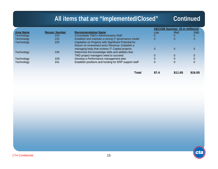## **All items that are "Implemented/Closed" Continued**

मह

| <b>Recom. Number</b> | <b>Recommendation Name</b>                            | Low                                                   | Med | <b>High</b>                           |
|----------------------|-------------------------------------------------------|-------------------------------------------------------|-----|---------------------------------------|
| 220                  | Consolidate TMD's Administrative Staff                |                                                       | 0   |                                       |
| 223                  | Establish and maintain a strong IT governance model   |                                                       |     |                                       |
| 225                  |                                                       |                                                       |     |                                       |
|                      | Return on Investment an/or Revenue: Establish a       |                                                       |     |                                       |
|                      | managing body that reviews IT Capital projects        |                                                       |     |                                       |
| 226                  | Determine the knowledge skills and abilities that     |                                                       |     |                                       |
|                      | TMD project managers need to succeed                  |                                                       |     |                                       |
| 229                  | Develop a Performance management plan                 |                                                       |     |                                       |
| 241                  | Establish positions and funding for ERP support staff |                                                       |     |                                       |
|                      |                                                       |                                                       |     |                                       |
|                      |                                                       |                                                       |     |                                       |
|                      |                                                       | Capitalize on Projects with Significant Potential for |     | <b>AECOM Savings (\$ in millions)</b> |

**Total\$7.4 \$11.65 \$16.05**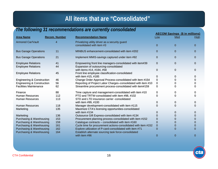#### **All items that are "Consolidated"**

#### *The following 31 recommendations are currently consolidated*

|                                                        |                      |                                                                                                                  |                | <b>AECOM Savings (\$ in millions)</b> |                |
|--------------------------------------------------------|----------------------|------------------------------------------------------------------------------------------------------------------|----------------|---------------------------------------|----------------|
| <b>Area Name</b>                                       | <b>Recom. Number</b> | <b>Recommendation Name</b>                                                                                       | Low            | Med                                   | High           |
| <b>Armored Car/Vault</b>                               | $\overline{4}$       | Privatizing utility driver as a security guard                                                                   |                |                                       |                |
|                                                        |                      | consolidated with item #3                                                                                        | $\Omega$       | $\mathbf{0}$                          | $\overline{0}$ |
| <b>Bus Garage Operations</b>                           | 11                   | MINBUS enhancement-consolidated with item #202                                                                   | 0              | $\mathbf{0}$                          | 0              |
| <b>Bus Garage Operations</b>                           | 21                   | Implement MMIS-savings captured under item #92                                                                   | $\mathbf{0}$   | $\mathbf{0}$                          | 0              |
| <b>Employee Relations</b><br><b>Employee Relations</b> | 41<br>44             | Empowering front line managers-consolidated with item#39<br>Expansion of outsourcing-consolidated                | 0              | 0                                     | 0              |
| <b>Employee Relations</b>                              | 45                   | with items #14, #184, #58<br>Front line employee classification-consolidated                                     | $\Omega$       | 0                                     | 0              |
|                                                        |                      | with item #15, #185                                                                                              | 0              | 0                                     | 0              |
| <b>Engineering &amp; Construction</b>                  | 46                   | Change Order Approval Process-consolidated with item #154                                                        | 0              | 0                                     | 0              |
| <b>Engineering &amp; Construction</b>                  | 56                   | Reporting of Project Labor Charges-consolidated with item #10                                                    | 0              | 0                                     | 0              |
| <b>Facilities Maintenance</b>                          | 62                   | Streamline procurement process-consolidated with item#159                                                        | 0              | 0                                     | 0              |
| Finance                                                | 88                   | Time capture and management-consolidated with item #10                                                           | 0              | 0                                     | 0              |
| <b>Human Resources</b>                                 | 112                  | PTO and TRTW-consolidated with item #98, #102                                                                    | 0              | 0                                     | 0              |
| <b>Human Resources</b>                                 | 113                  | STD and LTD insurance carrier -consolidated                                                                      |                |                                       |                |
|                                                        |                      | with item #99, #100                                                                                              | 0              | 0                                     | 0              |
| <b>Human Resources</b>                                 | 118                  | Manager development-consolidated with item #115                                                                  | O              | $\Omega$                              | 0              |
| Marketing                                              | 135                  | Maximize CTA's licensing opportunities-consolidated                                                              |                |                                       |                |
|                                                        |                      | with item #134                                                                                                   | O              | 0                                     | 0              |
| Marketing                                              | 136                  | Outsource Gift Express-consolidated with item #134                                                               | 0              | 0                                     | 0              |
| Purchasing & Warehousing                               | 153                  | Procurement planning process-consolidated with item #152                                                         | 0              | 0                                     | 0              |
| Purchasing & Warehousing                               | 159                  | Catalogue contracts - consolidated with item #160                                                                | 0              | 0                                     | 0              |
| Purchasing & Warehousing                               | 161                  | Cycle time for procurement actions-consolidated with item #152                                                   | $\overline{0}$ | 0                                     | 0              |
| Purchasing & Warehousing<br>Purchasing & Warehousing   | 162<br>164           | Explore utilization of P-card-consolidated with item #71<br>Establish alternate sourcing task force-consolidated | 0              | $\Omega$                              | $\Omega$       |
|                                                        |                      | with item #96                                                                                                    | 0              | $\Omega$                              | 0              |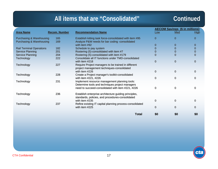#### **All items that are "Consolidated"**

#### **Continued**

|                                 |                      |                                                          | <b>AECOM Savings (\$ in millions)</b> |                |                |
|---------------------------------|----------------------|----------------------------------------------------------|---------------------------------------|----------------|----------------|
| <b>Area Name</b>                | <b>Recom. Number</b> | <b>Recommendation Name</b>                               | Low                                   | Med            | <b>High</b>    |
| Purchasing & Warehousing        | 165                  | Establish kitting task force-consolidated with item #95  | $\mathbf{0}$                          | $\Omega$       | 0              |
| Purchasing & Warehousing        | 169                  | Analyze P&W needs for bar coding -consolidated           |                                       |                |                |
|                                 |                      | with item #92                                            | $\mathbf 0$                           | 0              | 0              |
| <b>Rail Terminal Operations</b> | 182                  | Schedule to pay system                                   | 0                                     | $\Omega$       | $\mathbf 0$    |
| <b>Service Planning</b>         | 201                  | Rostering (5)-consolidated with item #7                  | $\Omega$                              | 0              | 0              |
| <b>Service Planning</b>         | 204                  | Rostering (5)-consolidated with item #179                | $\Omega$                              | $\overline{0}$ | $\overline{0}$ |
| Technology                      | 222                  | Consolidate all IT functions under TMD-consolidated      |                                       |                |                |
|                                 |                      | with item #218                                           | $\mathbf 0$                           | $\mathbf 0$    | 0              |
| Technology                      | 227                  | Require Project managers to be trained in different      |                                       |                |                |
|                                 |                      | project management techniques-consolidated               |                                       |                |                |
|                                 |                      | with item #226                                           | 0                                     | $\mathbf 0$    | 0              |
| Technology                      | 228                  | Create a Project manager's toolkit-consolidated          |                                       |                |                |
|                                 |                      | with item #221, #226                                     | 0                                     | 0              | 0              |
| Technology                      | 231                  | Implement resource management planning tools:            |                                       |                |                |
|                                 |                      | Determine tools and techniques project managers          |                                       |                |                |
|                                 |                      | need to succeed-consolidated with item #221, #226        | 0                                     | 0              | 0              |
| Technology                      | 236                  | Establish enterprise architecture guiding principles,    |                                       |                |                |
|                                 |                      | standards, policies, and procedures-consolidated         |                                       |                |                |
|                                 |                      | with item #235                                           | 0                                     | 0              | 0              |
| Technology                      | 237                  | Refine existing IT capital planning process-consolidated |                                       |                |                |
|                                 |                      | with item #225                                           | 0                                     | 0              | 0              |
|                                 |                      |                                                          |                                       |                |                |
|                                 |                      | <b>Total</b>                                             | \$0                                   | \$0            | \$0            |